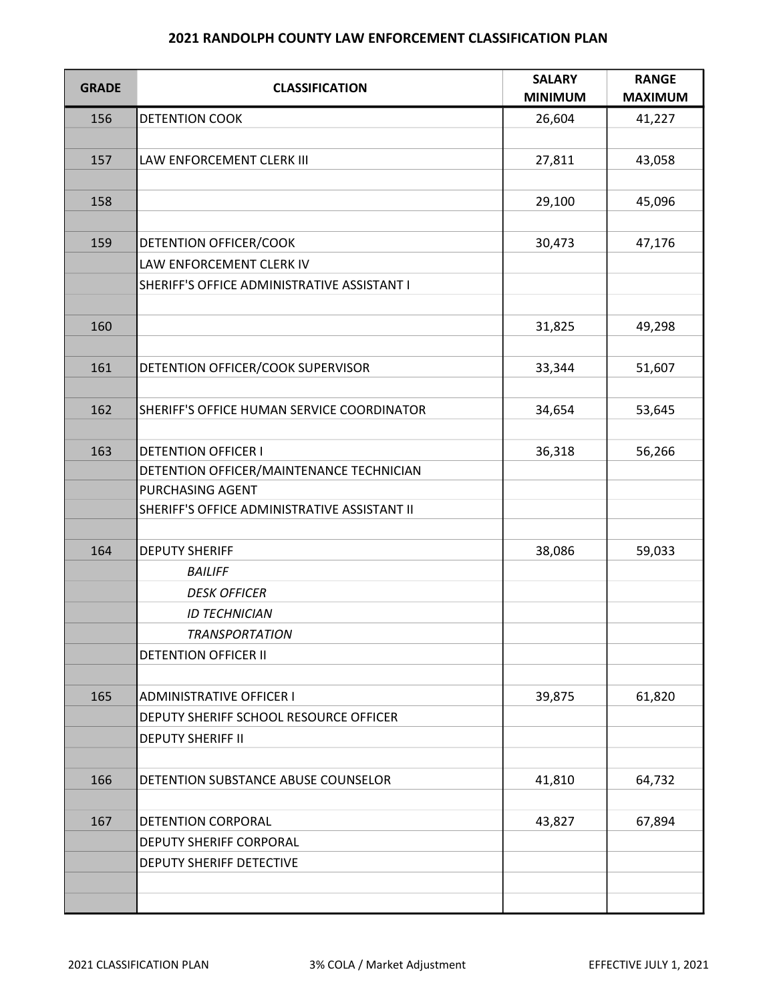## 2021 RANDOLPH COUNTY LAW ENFORCEMENT CLASSIFICATION PLAN

| <b>GRADE</b> | <b>CLASSIFICATION</b>                        | <b>SALARY</b><br><b>MINIMUM</b> | <b>RANGE</b><br><b>MAXIMUM</b> |
|--------------|----------------------------------------------|---------------------------------|--------------------------------|
| 156          | <b>DETENTION COOK</b>                        | 26,604                          | 41,227                         |
|              |                                              |                                 |                                |
| 157          | LAW ENFORCEMENT CLERK III                    | 27,811                          | 43,058                         |
| 158          |                                              | 29,100                          | 45,096                         |
|              |                                              |                                 |                                |
| 159          | DETENTION OFFICER/COOK                       | 30,473                          | 47,176                         |
|              | LAW ENFORCEMENT CLERK IV                     |                                 |                                |
|              | SHERIFF'S OFFICE ADMINISTRATIVE ASSISTANT I  |                                 |                                |
| 160          |                                              | 31,825                          | 49,298                         |
|              |                                              |                                 |                                |
| 161          | DETENTION OFFICER/COOK SUPERVISOR            | 33,344                          | 51,607                         |
|              |                                              |                                 |                                |
| 162          | SHERIFF'S OFFICE HUMAN SERVICE COORDINATOR   | 34,654                          | 53,645                         |
| 163          | <b>DETENTION OFFICER I</b>                   | 36,318                          | 56,266                         |
|              | DETENTION OFFICER/MAINTENANCE TECHNICIAN     |                                 |                                |
|              | PURCHASING AGENT                             |                                 |                                |
|              | SHERIFF'S OFFICE ADMINISTRATIVE ASSISTANT II |                                 |                                |
|              |                                              |                                 |                                |
| 164          | <b>DEPUTY SHERIFF</b>                        | 38,086                          | 59,033                         |
|              | <b>BAILIFF</b>                               |                                 |                                |
|              | <b>DESK OFFICER</b>                          |                                 |                                |
|              | <b>ID TECHNICIAN</b>                         |                                 |                                |
|              | <b>TRANSPORTATION</b>                        |                                 |                                |
|              | <b>DETENTION OFFICER II</b>                  |                                 |                                |
|              |                                              |                                 |                                |
| 165          | <b>ADMINISTRATIVE OFFICER I</b>              | 39,875                          | 61,820                         |
|              | DEPUTY SHERIFF SCHOOL RESOURCE OFFICER       |                                 |                                |
|              | <b>DEPUTY SHERIFF II</b>                     |                                 |                                |
|              |                                              |                                 |                                |
| 166          | DETENTION SUBSTANCE ABUSE COUNSELOR          | 41,810                          | 64,732                         |
|              |                                              |                                 |                                |
| 167          | DETENTION CORPORAL                           | 43,827                          | 67,894                         |
|              | DEPUTY SHERIFF CORPORAL                      |                                 |                                |
|              | DEPUTY SHERIFF DETECTIVE                     |                                 |                                |
|              |                                              |                                 |                                |
|              |                                              |                                 |                                |